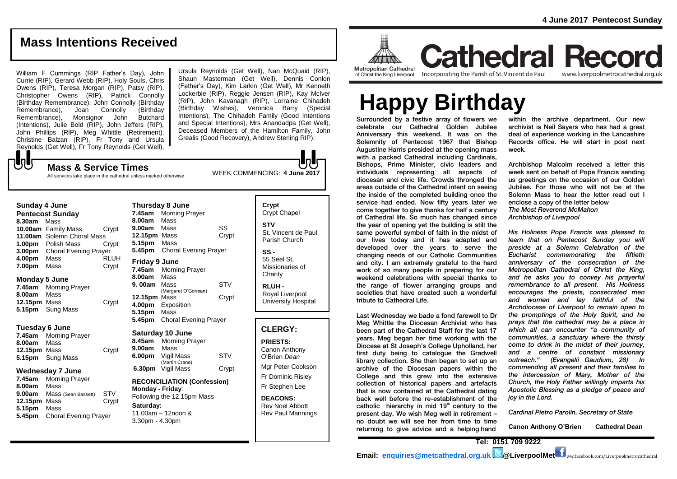www.liverpoolmetrocathedral.org.uk

# **Mass Intentions Received**

William F Cummings (RIP Father's Day), John Currie (RIP), Gerard Webb (RIP), Holy Souls, Chris Owens (RIP), Teresa Morgan (RIP), Patsy (RIP), Christopher Owens (RIP), Patrick Connolly (Birthday Remembrance), John Connolly (Birthday Joan Connolly Remembrance), Monsignor John Butchard (Intentions), Julie Bold (RIP), John Jeffers (RIP), John Phillips (RIP), Meg Whittle (Retirement), Christine Balzan (RIP), Fr Tony and Ursula Reynolds (Get Well), Fr Tony Reynolds (Get Well),  ${\bf J}$ 

Ursula Reynolds (Get Well), Nan McQuaid (RIP), Shaun Masterman (Get Well), Dennis Conlon (Father's Day), Kim Larkin (Get Well), Mr Kenneth Lockerbie (RIP), Reggie Jensen (RIP), Kay McIver (RIP), John Kavanagh (RIP), Lorraine Chihadeh (Birthday Wishes), Veronica Barry (Special Intentions), The Chihadeh Family (Good Intentions and Special Intentions), Mrs Anandadpa (Get Well), Deceased Members of the Hamilton Family, John Grealis (Good Recovery), Andrew Sterling RIP).

WEEK COMMENCING: **4 June 2017 Mass & Service Times** All services take place in the cathedral unless marked otherwise

# **Sunday 4 June**

| <b>Pentecost Sunday</b> |                              |             |  |
|-------------------------|------------------------------|-------------|--|
| 8.30am                  | Mass                         |             |  |
|                         | 10.00am Family Mass          | Crypt       |  |
|                         | 11.00am Solemn Choral Mass   |             |  |
| 1.00pm                  | Polish Mass                  | Crvpt       |  |
| 3.00pm                  | <b>Choral Evening Prayer</b> |             |  |
| 4.00pm                  | Mass                         | <b>RLUH</b> |  |
| 7.00pm                  | Mass                         | Crypt       |  |

#### **Monday 5 June**

| 7.45am       | <b>Morning Prayer</b> |       |
|--------------|-----------------------|-------|
| 8.00am       | Mass                  |       |
| 12.15pm Mass |                       | Crypt |
|              | 5.15pm Sung Mass      |       |

#### **Tuesday 6 June**

| 7.45am       | <b>Morning Prayer</b> |       |
|--------------|-----------------------|-------|
| 8.00am       | Mass                  |       |
| 12.15pm Mass |                       | Crypt |
|              | 5.15pm Sung Mass      |       |

### **Wednesday 7 June**

**7.45am** Morning Prayer **8.00am** Mass **9.00am** Mass (Sean Bassett) STV **12.15pm** Mass Crypt **5.15pm** Mass **5.45pm** Choral Evening Prayer

|               | <b>Thursday 8 June</b>       |            |  |  |
|---------------|------------------------------|------------|--|--|
| 7.45am        | <b>Morning Prayer</b>        |            |  |  |
| 8.00am        | Mass                         |            |  |  |
| 9.00am Mass   |                              | SS         |  |  |
| 12.15pm Mass  | Crypt                        |            |  |  |
| 5.15pm        | Mass                         |            |  |  |
| 5.45pm        | <b>Choral Evening Prayer</b> |            |  |  |
| Friday 9 June |                              |            |  |  |
| 7.45am        | <b>Morning Prayer</b>        |            |  |  |
| 8.00am        | Mass                         |            |  |  |
| 9.00am        | Mass                         | <b>STV</b> |  |  |
|               | (Margaret O'Gorman)          |            |  |  |
| 12.15pm       | Mass                         | Crypt      |  |  |
| 4.00pm        | Exposition                   |            |  |  |
| 5.15pm        | Mass                         |            |  |  |
| 5.45pm        | Choral Evening Praver        |            |  |  |

#### **Saturday 10 June**

| 8.45am             | <b>Morning Prayer</b>        |       |
|--------------------|------------------------------|-------|
| 9.00am             | Mass                         |       |
| 6.00 <sub>pm</sub> | Vigil Mass                   | STV   |
| 6.30pm             | (Martin Crane)<br>Vigil Mass | Crypt |
|                    |                              |       |

**RECONCILIATION (Confession) Monday - Friday**: Following the 12.15pm Mass **Saturday:** 11.00am – 12noon &

3.30pm - 4.30pm

| Crypt<br><b>Crypt Chapel</b>                      |
|---------------------------------------------------|
| STV<br>St. Vincent de Paul<br>Parish Church       |
| SS -<br>55 Seel St.<br>Missionaries of<br>Charity |
| <b>RLUH -</b><br>Royal Liverpool                  |

University Hospital

# **CLERGY:**

**PRIESTS:** Canon Anthony O'Brien *Dean* Mgr Peter Cookson Fr Dominic Risley Fr Stephen Lee

**DEACONS:** Rev Noel Abbott Rev Paul Mannings



**Cathedral Record** of Christ the King Liverpool

Incorporating the Parish of St. Vincent de Paul

# **Happy Birthday**

Surrounded by a festive array of flowers we celebrate our Cathedral Golden Jubilee Anniversary this weekend. It was on the Solemnity of Pentecost 1967 that Bishop Augustine Harris presided at the opening mass with a packed Cathedral including Cardinals. Bishops, Prime Minister, civic leaders and individuals representing all aspects of diocesan and civic life. Crowds thronged the areas outside of the Cathedral intent on seeing the inside of the completed building once the service had ended. Now fifty years later we come together to give thanks for half a century of Cathedral life. So much has changed since the year of opening yet the building is still the same powerful symbol of faith in the midst of our lives today and it has adapted and developed over the years to serve the changing needs of our Catholic Communities and city. I am extremely grateful to the hard work of so many people in preparing for our weekend celebrations with special thanks to the range of flower arranging groups and societies that have created such a wonderful tribute to Cathedral Life.

Last Wednesday we bade a fond farewell to Dr Meg Whittle the Diocesan Archivist who has been part of the Cathedral Staff for the last 17 years. Meg began her time working with the Diocese at St Joseph's College Upholland, her first duty being to catalogue the Gradwell library collection. She then began to set up an archive of the Diocesan papers within the College and this grew into the extensive collection of historical papers and artefacts that is now contained at the Cathedral dating back well before the re-establishment of the catholic hierarchy in mid  $19<sup>th</sup>$  century to the present day. We wish Meg well in retirement – no doubt we will see her from time to time returning to give advice and a helping hand

within the archive department. Our new archivist is Neil Sayers who has had a great deal of experience working in the Lancashire Records office. He will start in post next week.

Archbishop Malcolm received a letter this week sent on behalf of Pope Francis sending us greetings on the occasion of our Golden Jubilee. For those who will not be at the Solemn Mass to hear the letter read out I enclose a copy of the letter below *The Most Reverend McMahon Archbishop of Liverpool*

*His Holiness Pope Francis was pleased to learn that on Pentecost Sunday you will preside at a Solemn Celebration of the Eucharist commemorating the fiftieth anniversary of the consecration of the Metropolitan Cathedral of Christ the King, and he asks you to convey his prayerful remembrance to all present. His Holiness encourages the priests, consecrated men and women and lay faithful of the Archdiocese of Liverpool to remain open to the promptings of the Holy Spirit, and he prays that the cathedral may be a place in which all can encounter "a community of communities, a sanctuary where the thirsty come to drink in the midst of their journey, and a centre of constant missionary outreach." (Evangelii Gaudium, 28) In commending all present and their families to the intercession of Mary, Mother of the Church, the Holy Father willingly imparts his Apostolic Blessing as a pledge of peace and joy in the Lord.*

*Cardinal Pietro Parolin, Secretary of State*

**Canon Anthony O'Brien Cathedral Dean**

**Tel: 0151 709 9222 Email: [enquiries@metcathedral.org.uk](mailto:enquiries@metcathedral.org.uk) B** @LiverpoolMet **f** ww.facebook.com/Liverpoolmetrocathedral